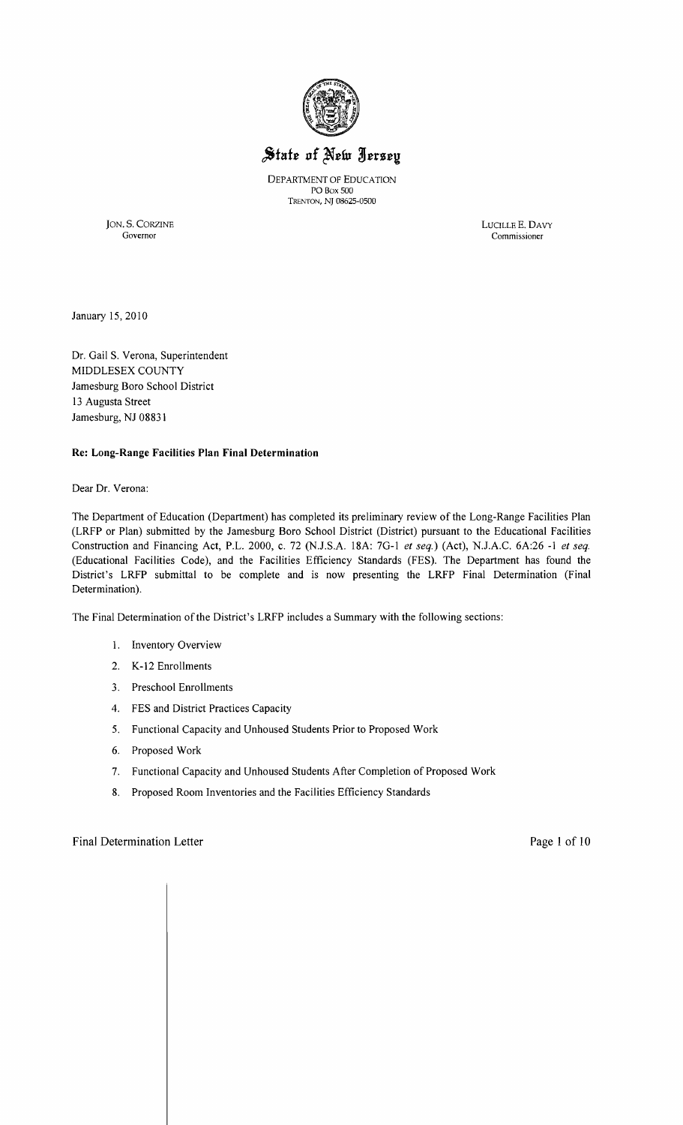

# State of New Jersey

DEPARTMENT OF EDUCATION PO Box 500 TRENTON, NJ 08625-0500

JON. S. CORZINE LUCILLE E. DAVY Governor Commissioner

January 15,2010

Dr. Gail S. Verona, Superintendent MIDDLESEX COUNTY Jamesburg Boro School District 13 Augusta Street Jamesburg, NJ 08831

## Re: Long-Range Facilities Plan Final Determination

#### Dear Dr. Verona:

The Department of Education (Department) has completed its preliminary review of the Long-Range Facilities Plan (LRFP or Plan) submitted by the Jamesburg Boro School District (District) pursuant to the Educational Facilities Construction and Financing Act, P.L. 2000, c. 72 (NJ.SA 18A: 7G-l *et seq.)* (Act), NJAC. 6A:26 -1 *et seq.*  (Educational Facilities Code), and the Facilities Efficiency Standards (FES). The Department has found the District's LRFP submittal to be complete and is now presenting the LRFP Final Determination (Final Determination).

The Final Determination of the District's LRFP includes a Summary with the following sections:

- 1. Inventory Overview
- 2. K-12 Enrollments
- 3. Preschool Enrollments
- 4. FES and District Practices Capacity
- 5. Functional Capacity and Unhoused Students Prior to Proposed Work
- 6. Proposed Work
- 7. Functional Capacity and Unhoused Students After Completion of Proposed Work
- 8. Proposed Room Inventories and the Facilities Efficiency Standards

## Final Determination Letter **Page 1** of 10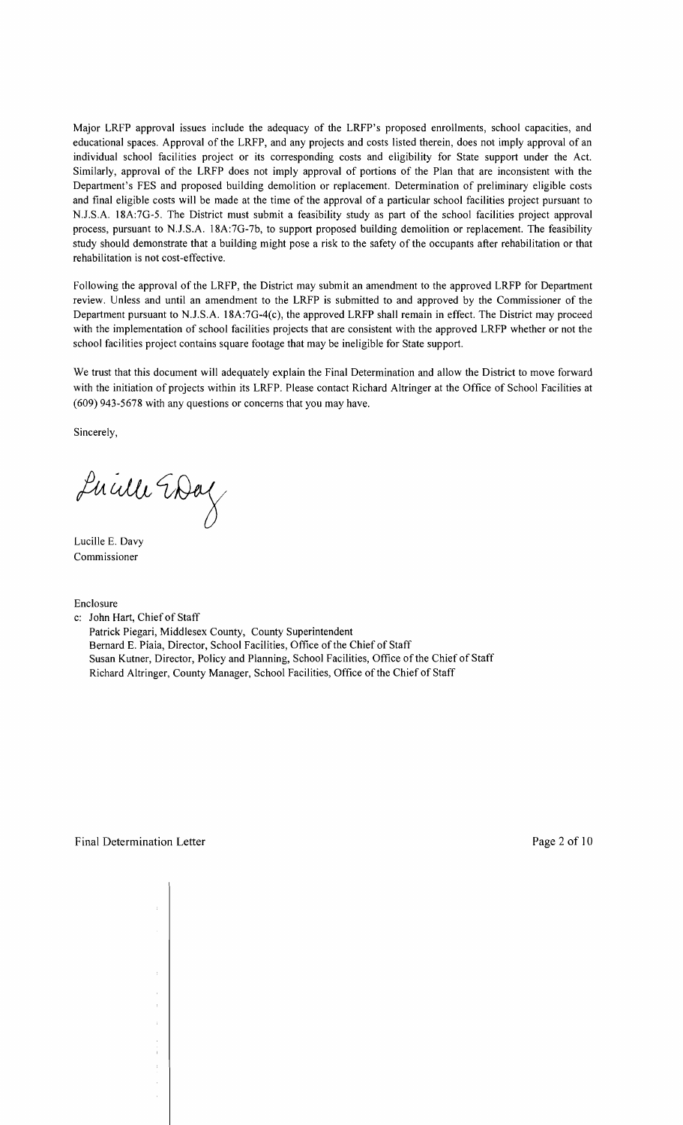Major LRFP approval issues include the adequacy of the LRFP's proposed enrollments, school capacities, and educational spaces. Approval of the LRFP, and any projects and costs listed therein, does not imply approval of an individual school facilities project or its corresponding costs and eligibility for State support under the Act. Similarly, approval of the LRFP does not imply approval of portions of the Plan that are inconsistent with the Department's FES and proposed building demolition or replacement. Determination of preliminary eligible costs and final eligible costs will be made at the time of the approval of a particular school facilities project pursuant to N.J.S.A. 18A:7G-5. The District must submit a feasibility study as part of the school facilities project approval process, pursuant to N.J.S.A. 18A:7G-7b, to support proposed building demolition or replacement. The feasibility study should demonstrate that a building might pose a risk to the safety of the occupants after rehabilitation or that rehabilitation is not cost-effective.

Following the approval of the LRFP, the District may submit an amendment to the approved LRFP for Department review. Unless and until an amendment to the LRFP is submitted to and approved by the Commissioner of the Department pursuant to N.J.S.A. 18A:7G-4(c), the approved LRFP shall remain in effect. The District may proceed with the implementation of school facilities projects that are consistent with the approved LRFP whether or not the school facilities project contains square footage that may be ineligible for State support.

We trust that this document will adequately explain the Final Determination and allow the District to move forward with the initiation of projects within its LRFP. Please contact Richard Altringer at the Office of School Facilities at (609) 943-5678 with any questions or concerns that you may have.

Sincerely,

Lucille Day

Lucille E. Davy Commissioner

Enclosure

c: John Hart, Chief of Staff

Patrick Piegari, Middlesex County, County Superintendent Bernard E. Piaia, Director, School Facilities, Office of the Chief of Staff Susan Kutner, Director, Policy and Planning, School Facilities, Office of the Chief of Staff Richard Altringer, County Manager, School Facilities, Office of the Chief of Staff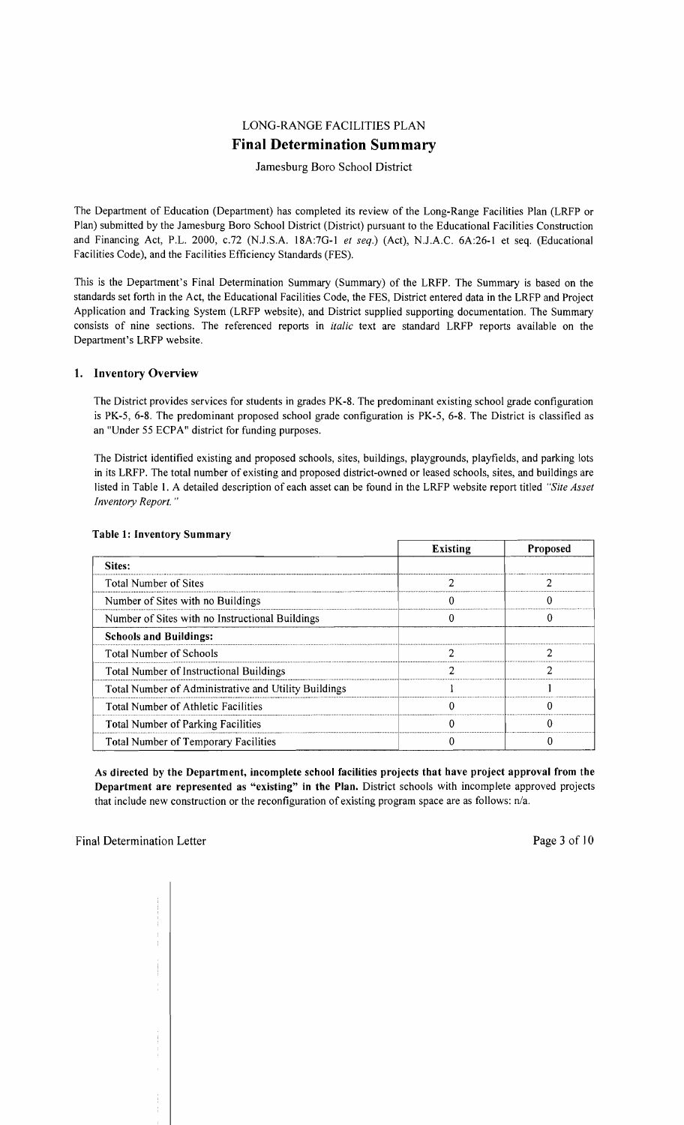## LONG-RANGE FACILITIES PLAN **Final Determination Summary**

## Jamesburg Bora School District

The Department of Education (Department) has completed its review of the Long-Range Facilities Plan (LRFP or Plan) submitted by the Jamesburg Boro School District (District) pursuant to the Educational Facilities Construction and Financing Act, P.L. 2000, *c.*72 (N.J.S.A. 18A:7G-1 *et seq.*) (Act), N.J.A.C. 6A:26-1 et seq. (Educational Facilities Code), and the Facilities Efficiency Standards (FES).

This is the Department's Final Determination Summary (Summary) of the LRFP. The Summary is based on the standards set forth in the Act, the Educational Facilities Code, the FES, District entered data in the LRFP and Project Application and Tracking System (LRFP website), and District supplied supporting documentation. The Summary consists of nine sections. The referenced reports in *italic* text are standard LRFP reports available on the Department's LRFP website.

## 1. Inventory Overview

The District provides services for students in grades PK-8. The predominant existing school grade configuration is PK-5, 6-8. The predominant proposed school grade configuration is PK-5, 6-8. The District is classified as an "Under 55 ECPA" district for funding purposes.

The District identified existing and proposed schools, sites, buildings, playgrounds, playfields, and parking lots in its LRFP. The total number of existing and proposed district-owned or leased schools, sites, and buildings are listed in Table I. A detailed description of each asset can be found in the LRFP website report titled *"Site Asset Inventory Report. "* 

|                                                      | <b>Existing</b> | <b>Proposed</b> |
|------------------------------------------------------|-----------------|-----------------|
| Sites:                                               |                 |                 |
| Total Number of Sites                                |                 |                 |
| Number of Sites with no Buildings                    |                 |                 |
| Number of Sites with no Instructional Buildings      |                 |                 |
| <b>Schools and Buildings:</b>                        |                 |                 |
| <b>Total Number of Schools</b>                       |                 |                 |
| Total Number of Instructional Buildings              |                 |                 |
| Total Number of Administrative and Utility Buildings |                 |                 |
| Total Number of Athletic Facilities                  |                 |                 |
| <b>Total Number of Parking Facilities</b>            |                 |                 |
| Total Number of Temporary Facilities                 |                 |                 |

#### Table l' Inventory Summary

As directed by the Department, incomplete school facilities projects that have project approval from the Department are represented as "existing" in the Plan. District schools with incomplete approved projects that include new construction or the reconfiguration of existing program space are as follows: n/a.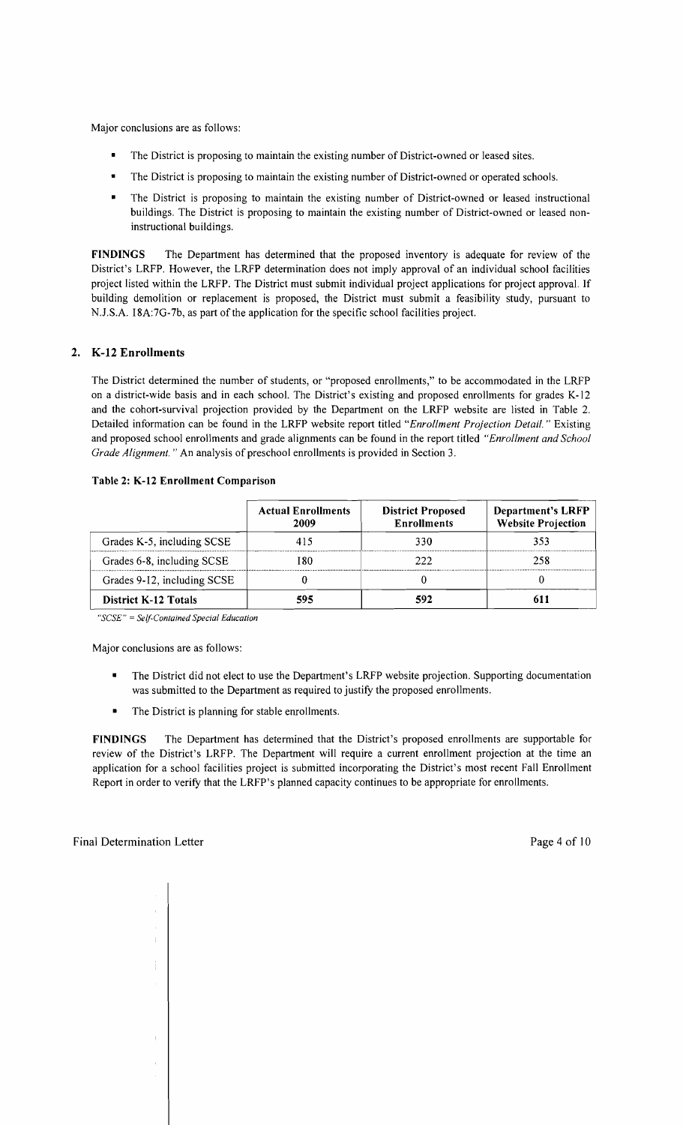Major conclusions are as follows:

- The District is proposing to maintain the existing number of District-owned or leased sites.
- The District is proposing to maintain the existing number of District-owned or operated schools.
- The District is proposing to maintain the existing number of District-owned or leased instructional buildings. The District is proposing to maintain the existing number of District-owned or leased noninstructional buildings.

FINDINGS The Department has determined that the proposed inventory is adequate for review of the District's LRFP. However, the LRFP determination does not imply approval of an individual school facilities project listed within the LRFP. The District must submit individual project applications for project approval. If building demolition or replacement is proposed, the District must submit a feasibility study, pursuant to N.J.S.A. 18A:7G-7b, as part of the application for the specific school facilities project.

## 2. K-12 Enrollments

The District determined the number of students, or "proposed enrollments," to be accommodated in the LRFP on a district-wide basis and in each school. The District's existing and proposed enrollments for grades K-12 and the cohort-survival projection provided by the Department on the LRFP website are listed in Table 2. Detailed information can be found in the LRFP website report titled *"Enrollment Projection Detail.* " Existing and proposed school enrollments and grade alignments can be found in the report titled *"Enrollment and School Grade Alignment."* An analysis of preschool enrollments is provided in Section 3.

|                             | <b>Actual Enrollments</b><br>2009 | <b>District Proposed</b><br><b>Enrollments</b> | Department's LRFP<br><b>Website Projection</b> |
|-----------------------------|-----------------------------------|------------------------------------------------|------------------------------------------------|
| Grades K-5, including SCSE  | 415                               | 330.                                           | 353                                            |
| Grades 6-8, including SCSE  | 180                               | 222.                                           | 258                                            |
| Grades 9-12, including SCSE |                                   |                                                |                                                |
| <b>District K-12 Totals</b> | 595                               | 592                                            |                                                |

#### Table 2: K-12 Enrollment Comparison

*"SCSE"* = *Self-Conlained Special Education* 

Major conclusions are as follows:

- The District did not elect to use the Department's LRFP website projection. Supporting documentation was submitted to the Department as required to justify the proposed enrollments.
- The District is planning for stable enrollments.

FINDINGS The Department has determined that the District's proposed enrollments are supportable for review of the District's LRFP. The Department will require a current enrollment projection at the time an application for a school facilities project is submitted incorporating the District's most recent Fall Enrollment Report in order to verify that the LRFP's planned capacity continues to be appropriate for enrollments.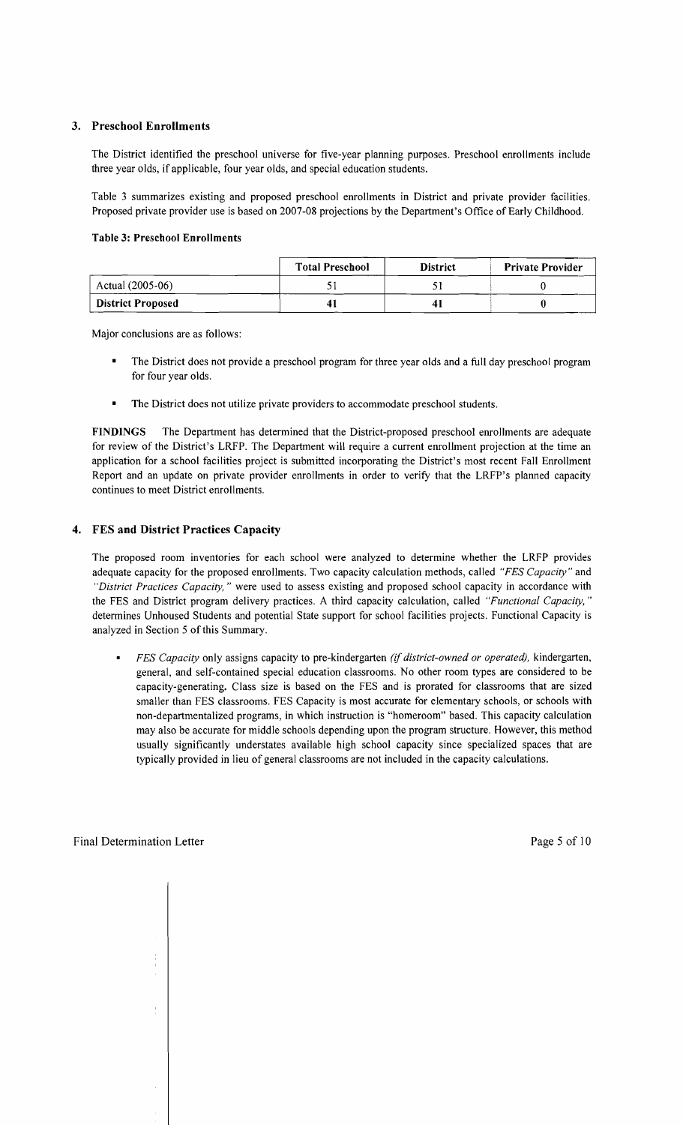## 3. Preschool Enrollments

The District identified the preschool universe for five-year planning purposes. Preschool enrollments include three year olds, if applicable, four year olds, and special education students.

Table 3 summarizes existing and proposed preschool enrollments in District and private provider facilities. Proposed private provider use is based on 2007-08 projections by the Department's Office of Early Childhood.

#### Table 3: Preschool Enrollments

|                          | <b>Total Preschool</b> | <b>District</b> | <b>Private Provider</b> |
|--------------------------|------------------------|-----------------|-------------------------|
| Actual (2005-06)         |                        |                 |                         |
| <b>District Proposed</b> | 41                     |                 |                         |

Major conclusions are as follows:

- The District does not provide a preschool program for three year olds and a full day preschool program for four year olds.
- The District does not utilize private providers to accommodate preschool students.

FINDINGS The Department has determined that the District-proposed preschool enrollments are adequate for review of the District's LRFP. The Department will require a current enrollment projection at the time an application for a school facilities project is submitted incorporating the District's most recent Fall Enrollment Report and an update on private provider enrollments in order to verify that the LRFP's planned capacity continues to meet District enrollments.

## 4. FES and District Practices Capacity

The proposed room inventories for each school were analyzed to determine whether the LRFP provides adequate capacity for the proposed enrollments. Two capacity calculation methods, called *"FES Capacity"* and *"District Practices Capacity,* " were used to assess existing and proposed school capacity in accordance with the FES and District program delivery practices. A third capacity calculation, called *"Functional Capacity, "*  determines Unhoused Students and potential State support for school facilities projects. Functional Capacity is analyzed in Section 5 of this Summary.

*FES Capacity* only assigns capacity to pre-kindergarten *(if district-owned or operated),* kindergarten, general, and self-contained special education classrooms. No other room types are considered to be capacity-generating. Class size is based on the FES and is prorated for classrooms that are sized smaller than FES classrooms. FES Capacity is most accurate for elementary schools, or schools with non-departmentalized programs, in which instruction is "homeroom" based. This capacity calculation may also be accurate for middle schools depending upon the program structure. However, this method usually significantly understates available high school capacity since specialized spaces that are typically provided in lieu of general classrooms are not included in the capacity calculations.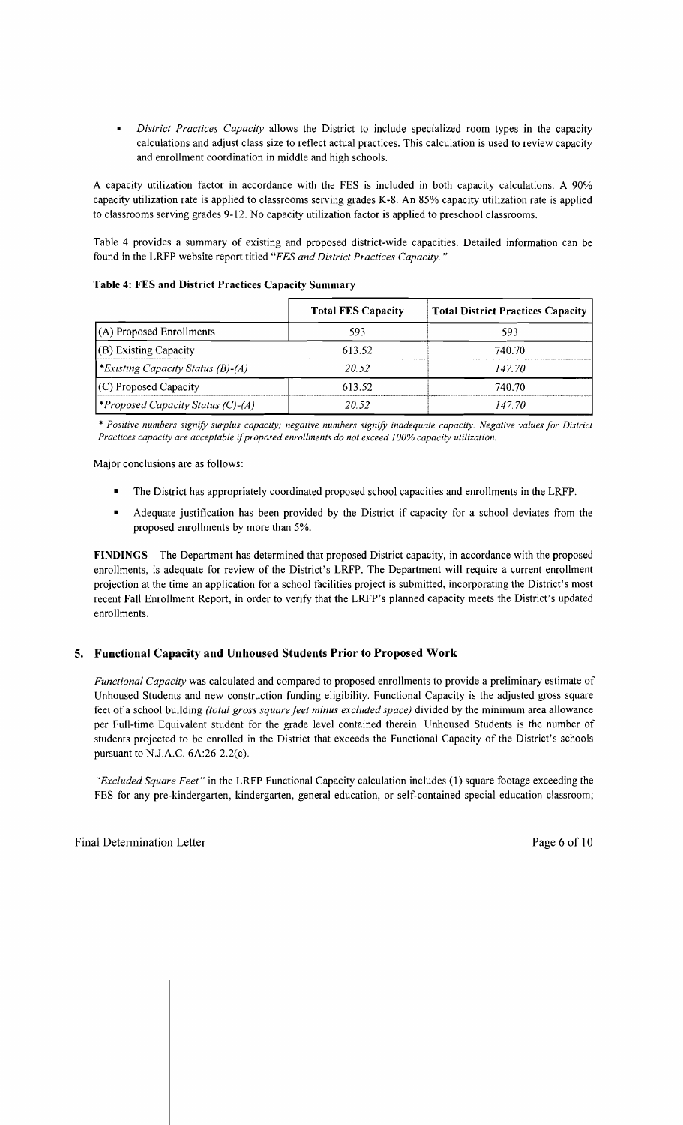*District Practices Capacity* allows the District to include specialized room types in the capacity calculations and adjust class size to reflect actual practices. This calculation is used to review capacity and enrollment coordination in middle and high schools.

A capacity utilization factor in accordance with the FES is included in both capacity calculations. A 90% capacity utilization rate is applied to classrooms serving grades K-8. An 85% capacity utilization rate is applied to classrooms serving grades 9-12. No capacity utilization factor is applied to preschool classrooms.

Table 4 provides a summary of existing and proposed district-wide capacities. Detailed information can be found in the LRFP website report titled *"FES and District Practices Capacity. "* 

|  |  | Table 4: FES and District Practices Capacity Summary |
|--|--|------------------------------------------------------|
|  |  |                                                      |

|                                                 | <b>Total FES Capacity</b> | <b>Total District Practices Capacity</b> |
|-------------------------------------------------|---------------------------|------------------------------------------|
| $(A)$ Proposed Enrollments                      | 593                       | 593                                      |
| (B) Existing Capacity                           | 613.52                    | 740.70                                   |
| *Existing Capacity Status $(B)$ - $(A)$         | 20.52                     | 147.70                                   |
| (C) Proposed Capacity                           | 613.52                    | 740.70                                   |
| <i><b>*Proposed Capacity Status (C)-(A)</b></i> | 20.52                     | 147 70                                   |

\* *Positive numbers signifY surplus capacity; negative numbers signifY inadequate capacity. Negative values for District Practices capacity are acceptable* if*proposed enrollments do not exceed 100% capacity utilization.* 

Major conclusions are as follows:

- The District has appropriately coordinated proposed school capacities and enrollments in the LRFP.
- Adequate justification has been provided by the District if capacity for a school deviates from the proposed enrollments by more than 5%.

FINDINGS The Department has determined that proposed District capacity, in accordance with the proposed enrollments, is adequate for review of the District's LRFP. The Department will require a current enrollment projection at the time an application for a school facilities project is submitted, incorporating the District's most recent Fall Enrollment Report, in order to verify that the LRFP's planned capacity meets the District's updated enrollments.

## 5. Functional Capacity and Unhoused Students Prior to Proposed Work

*Functional Capacity* was calculated and compared to proposed enrollments to provide a preliminary estimate of Unhoused Students and new construction funding eligibility. Functional Capacity is the adjusted gross square feet of a school building *(total gross square feet minus excluded space)* divided by the minimum area allowance per Full-time Equivalent student for the grade level contained therein. Unhoused Students is the number of students projected to be enrolled in the District that exceeds the Functional Capacity of the District's schools pursuant to NJ.A.C. 6A:26-2.2(c).

*"Excluded Square Feet"* in the LRFP Functional Capacity calculation includes (I) square footage exceeding the FES for any pre-kindergarten, kindergarten, general education, or self-contained special education classroom;

 $\mathbf{I}$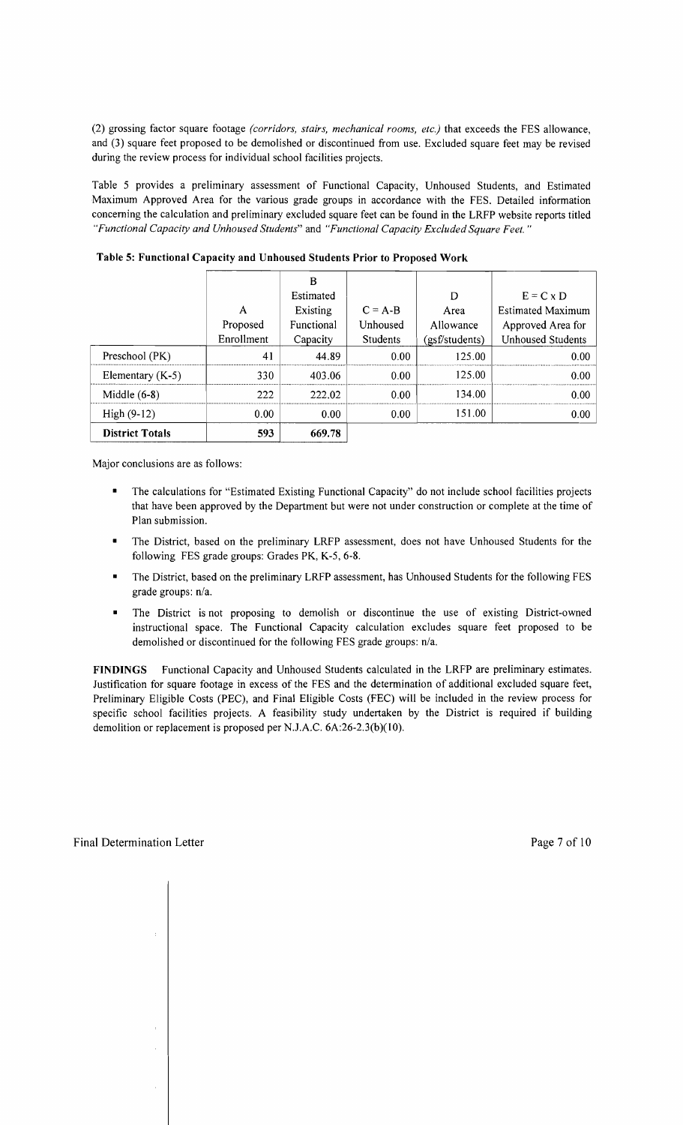(2) grossing factor square footage *(corridors, stairs, mechanical rooms, etc.)* that exceeds the FES allowance, and (3) square feet proposed to be demolished or discontinued from use. Excluded square feet may be revised during the review process for individual school facilities projects.

Table 5 provides a preliminary assessment of Functional Capacity, Unhoused Students, and Estimated Maximum Approved Area for the various grade groups in accordance with the FES. Detailed information concerning the calculation and preliminary excluded square feet can be found in the LRFP website reports titled *"Functional Capacity and Unhoused Students"* and *"Functional Capacity Excluded Square Feet.* ..

|                        |            | B          |                   |                |                          |
|------------------------|------------|------------|-------------------|----------------|--------------------------|
|                        |            | Estimated  |                   | D              | $E = C \times D$         |
|                        | A          | Existing   | $C = A - B$       | Area           | <b>Estimated Maximum</b> |
|                        | Proposed   | Functional | Unhoused          | Allowance      | Approved Area for        |
|                        | Enrollment | Capacity   | <b>Students</b>   | (gsf/students) | <b>Unhoused Students</b> |
| Preschool (PK)         | 41         | 44.89      | 0.00              | 125.00         | 0.00                     |
| Elementary $(K-5)$     | 330        | 403.06     | 0.00              | 125.00         | 0.00                     |
| Middle $(6-8)$         | 222        | 222.02     | 0.00              | 134.00         | 0.00                     |
| High $(9-12)$          | 0.00       | 0.00       | 0.00 <sub>1</sub> | 151.00         | 0.00 <sub>1</sub>        |
| <b>District Totals</b> | 593        | 669.78     |                   |                |                          |

Table 5: Functional Capacity and Unhoused Students Prior to Proposed Work

Major conclusions are as follows:

- The calculations for "Estimated Existing Functional Capacity" do not include school facilities projects that have been approved by the Department but were not under construction or complete at the time of Plan submission.
- The District, based on the preliminary LRFP assessment, does not have Unhoused Students for the following FES grade groups: Grades PK, K-5, 6-8.
- The District, based on the preliminary LRFP assessment, has Unhoused Students for the following FES grade groups: n/a.
- The District is not proposing to demolish or discontinue the use of existing District-owned instructional space. The Functional Capacity calculation excludes square feet proposed to be demolished or discontinued for the following FES grade groups: *n/a.*

FINDINGS Functional Capacity and Unhoused Students calculated in the LRFP are preliminary estimates. Justification for square footage in excess of the FES and the determination of additional excluded square feet, Preliminary Eligible Costs (PEC), and Final Eligible Costs (FEC) will be included in the review process for specific school facilities projects. A feasibility study undertaken by the District is required if building demolition or replacement is proposed per N.J.A.C. 6A:26-2.3(b)(10).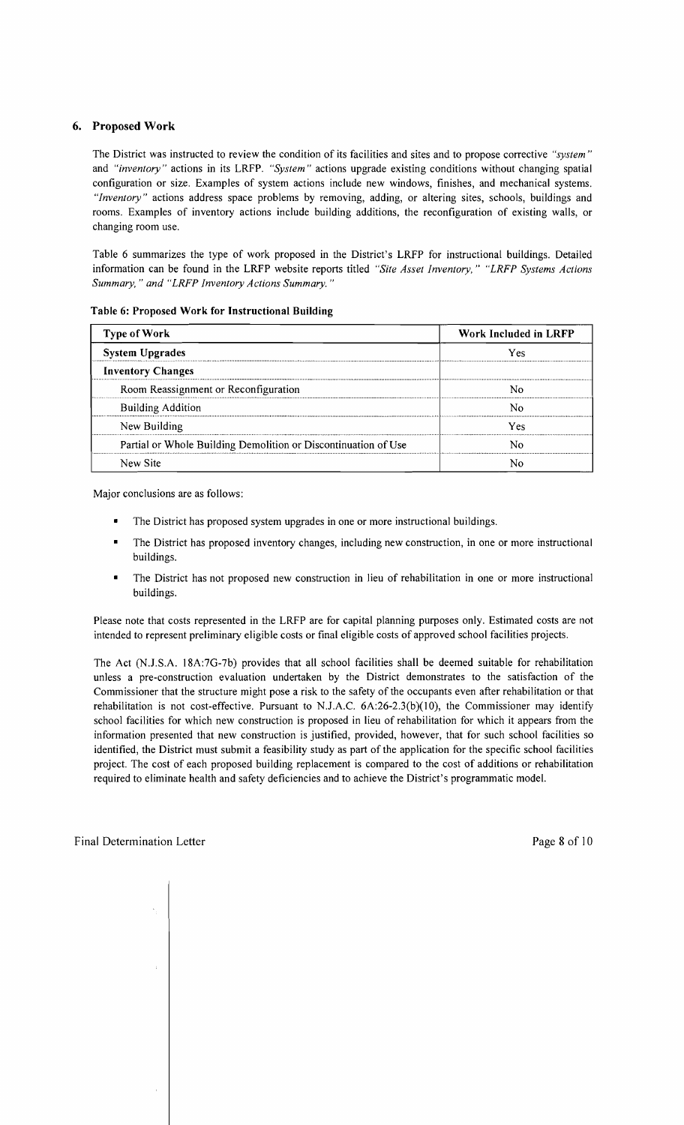## 6. Proposed Work

The District was instructed to review the condition of its facilities and sites and to propose corrective *"system"*  and *"inventory"* actions in its LRFP. *"System"* actions upgrade existing conditions without changing spatial configuration or size. Examples of system actions include new windows, finishes, and mechanical systems. *"Inventory"* actions address space problems by removing, adding, or altering sites, schools, buildings and rooms. Examples of inventory actions include building additions, the reconfiguration of existing walls, or changing room use.

Table 6 summarizes the type of work proposed in the District's LRFP for instructional buildings. Detailed information can be found in the LRFP website reports titled *"Site Asset Inventory," "LRFP Systems Actions Summary,* " *and "LRFP Inventory Actions Summary. "* 

| <b>Type of Work</b>                                            | Work Included in LRFP |  |  |
|----------------------------------------------------------------|-----------------------|--|--|
| <b>System Upgrades</b>                                         | Yes                   |  |  |
| <b>Inventory Changes</b>                                       |                       |  |  |
| Room Reassignment or Reconfiguration                           | N٥                    |  |  |
| <b>Building Addition</b>                                       | N٥                    |  |  |
| New Building                                                   | Yes                   |  |  |
| Partial or Whole Building Demolition or Discontinuation of Use | N٥                    |  |  |
| New Site                                                       |                       |  |  |

#### Table 6: Proposed Work for Instructional Building

Major conclusions are as follows:

- The District has proposed system upgrades in one or more instructional buildings.
- The District has proposed inventory changes, including new construction, in one or more instructional buildings.
- The District has not proposed new construction in lieu of rehabilitation in one or more instructional buildings.

Please note that costs represented in the LRFP are for capital planning purposes only. Estimated costs are not intended to represent preliminary eligible costs or final eligible costs of approved school facilities projects.

The Act (N.J .S.A. 18A:7G-7b) provides that all school facilities shall be deemed suitable for rehabilitation unless a pre-construction evaluation undertaken by the District demonstrates to the satisfaction of the Commissioner that the structure might pose a risk to the safety of the occupants even after rehabilitation or that rehabilitation is not cost-effective. Pursuant to N.J.A.C.  $6A:26-2.3(b)(10)$ , the Commissioner may identify school facilities for which new construction is proposed in lieu of rehabilitation for which it appears from the information presented that new construction is justified, provided, however, that for such school facilities so identified, the District must submit a feasibility study as part of the application for the specific school facilities project. The cost of each proposed building replacement is compared to the cost of additions or rehabilitation required to eliminate health and safety deficiencies and to achieve the District's programmatic model.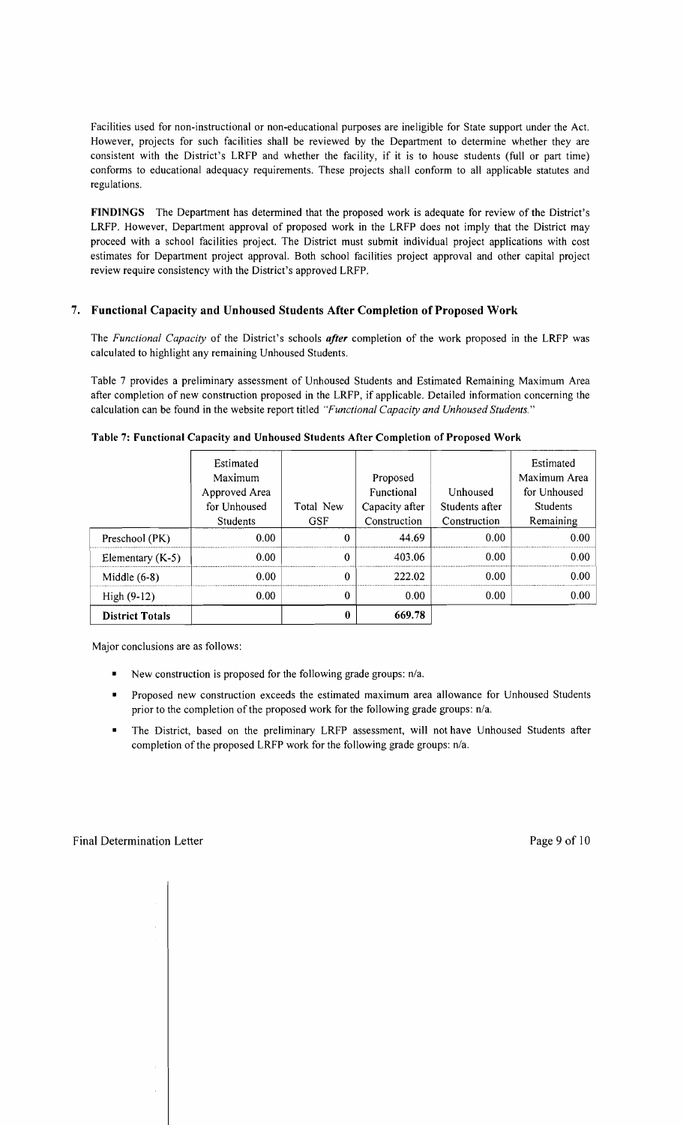Facilities used for non-instructional or non-educational purposes are ineligible for State support under the Act. However, projects for such facilities shall be reviewed by the Department to determine whether they are consistent with the District's LRFP and whether the facility, if it is to house students (full or part time) conforms to educational adequacy requirements. These projects shall conform to all applicable statutes and regulations.

FINDINGS The Department has determined that the proposed work is adequate for review of the District's LRFP. However, Department approval of proposed work in the LRFP does not imply that the District may proceed with a school facilities project. The District must submit individual project applications with cost estimates for Department project approval. Both school facilities project approval and other capital project review require consistency with the District's approved LRFP.

## 7. Functional Capacity and Unhoused Students After Completion of Proposed Work

The *Functional Capacity* of the District's schools *after* completion of the work proposed in the LRFP was calculated to highlight any remaining Unhoused Students.

Table 7 provides a preliminary assessment of Unhoused Students and Estimated Remaining Maximum Area after completion of new construction proposed in the LRFP, if applicable. Detailed information concerning the calculation can be found in the website report titled *"Functional Capacity and Unhoused Students."* 

|                        | Estimated<br>Maximum<br>Approved Area<br>for Unhoused<br>Students | Total New<br><b>GSF</b> | Proposed<br>Functional<br>Capacity after<br>Construction | Unhoused<br>Students after<br>Construction | Estimated<br>Maximum Area<br>for Unhoused<br><b>Students</b><br>Remaining |
|------------------------|-------------------------------------------------------------------|-------------------------|----------------------------------------------------------|--------------------------------------------|---------------------------------------------------------------------------|
| Preschool (PK)         | 0.00 <sub>1</sub>                                                 | 0                       | 44.69                                                    | 0.00                                       | 0.00                                                                      |
| Elementary $(K-5)$     | 0.00                                                              | 0                       | 403.06                                                   | 0.00                                       | 0.00                                                                      |
| Middle $(6-8)$         | 0.00                                                              | 0                       | 222.02                                                   | 0.00                                       | 0.00                                                                      |
| High $(9-12)$          | 0.00                                                              | 0                       | 0.00                                                     | 0.00                                       | 0.00                                                                      |
| <b>District Totals</b> |                                                                   | 0                       | 669.78                                                   |                                            |                                                                           |

Table 7: Functional Capacity and Unhoused Students After Completion of Proposed Work

Major conclusions are as follows:

- New construction is proposed for the following grade groups: *n/a.*
- Proposed new construction exceeds the estimated maximum area allowance for Unhoused Students prior to the completion of the proposed work for the following grade groups: *n/a.*
- The District, based on the preliminary LRFP assessment, will not have Unhoused Students after completion of the proposed LRFP work for the following grade groups: n/a.